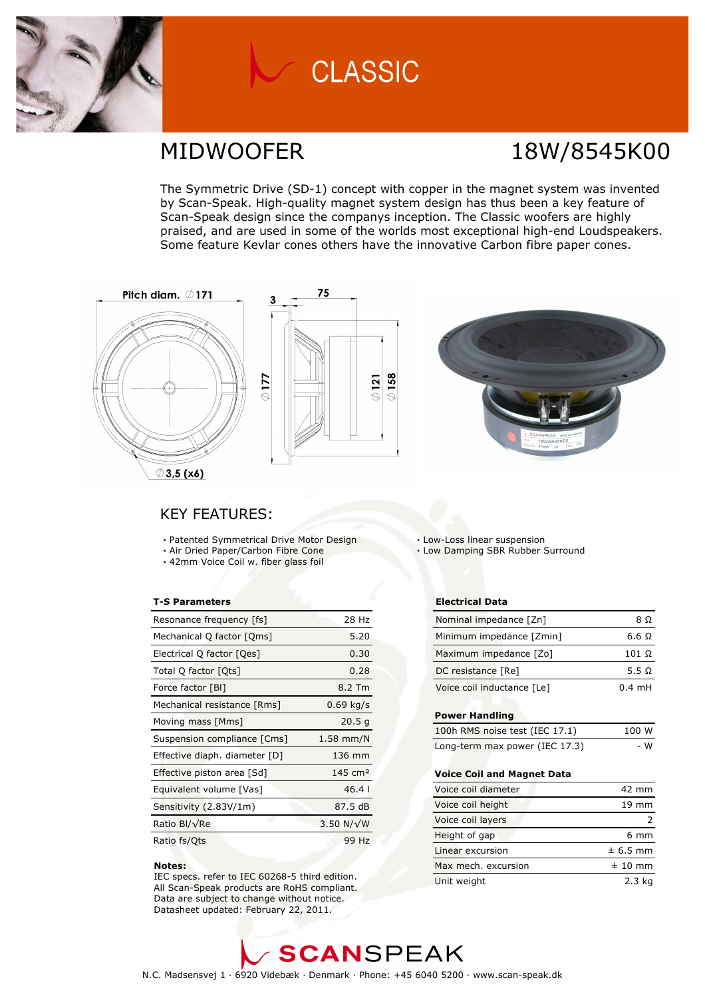

# **CLASSIC**

## MIDWOOFER 18W/8545K00

The Symmetric Drive (SD-1) concept with copper in the magnet system was invented by Scan-Speak. High-quality magnet system design has thus been a key feature of Scan-Speak design since the companys inception. The Classic woofers are highly praised, and are used in some of the worlds most exceptional high-end Loudspeakers. Some feature Kevlar cones others have the innovative Carbon fibre paper cones.

 $\circ$  158





### KEY FEATURES:

- Patented Symmetrical Drive Motor Design
- Air Dried Paper/Carbon Fibre Cone
- 42mm Voice Coil w. fiber glass foil

### T-S Parameters

| Resonance frequency [fs]      | 28 Hz              |
|-------------------------------|--------------------|
| Mechanical Q factor [Qms]     | 5.20               |
| Electrical Q factor [Qes]     | 0.30               |
| Total Q factor [Ots]          | 0.28               |
| Force factor [BI]             | 8.2 Tm             |
| Mechanical resistance [Rms]   | $0.69$ kg/s        |
| Moving mass [Mms]             | 20.5 <sub>q</sub>  |
| Suspension compliance [Cms]   | $1.58$ mm/N        |
| Effective diaph. diameter [D] | 136 mm             |
| Effective piston area [Sd]    | $145 \text{ cm}^2$ |
| Equivalent volume [Vas]       | 46.4               |
| Sensitivity (2.83V/1m)        | 87.5 dB            |
| Ratio Bl/√Re                  | 3.50 N/ $\sqrt{W}$ |
| Ratio fs/Qts                  | 99 Hz              |

#### Notes:

 IEC specs. refer to IEC 60268-5 third edition. All Scan-Speak products are RoHS compliant. Data are subject to change without notice. Datasheet updated: February 22, 2011.

Low-Loss linear suspension

Low Damping SBR Rubber Surround

#### Electrical Data

| Nominal impedance [Zn]     | 8 O              |
|----------------------------|------------------|
| Minimum impedance [Zmin]   | 6.6 $\Omega$     |
| Maximum impedance [Zo]     | $101 \Omega$     |
| DC resistance [Re]         | 5.5 $\Omega$     |
| Voice coil inductance [Le] | $0.4 \text{ mH}$ |

#### Power Handling

| 100h RMS noise test (IEC 17.1) | 100 W |
|--------------------------------|-------|
| Long-term max power (IEC 17.3) | - W   |

#### Voice Coil and Magnet Data

| Voice coil diameter | 42 mm           |
|---------------------|-----------------|
| Voice coil height   | $19 \text{ mm}$ |
| Voice coil layers   |                 |
| Height of gap       | 6 mm            |
| Linear excursion    | $± 6.5$ mm      |
| Max mech, excursion | $± 10$ mm       |
| Unit weight         | $2.3$ ka        |